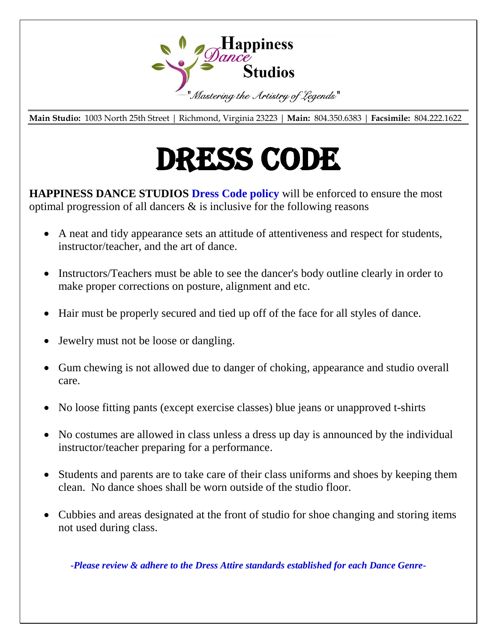

**Main Studio:** 1003 North 25th Street | Richmond, Virginia 23223 | **Main:** 804.350.6383 | **Facsimile:** 804.222.1622

# DRESS CODE

**HAPPINESS DANCE STUDIOS Dress Code policy** will be enforced to ensure the most optimal progression of all dancers & is inclusive for the following reasons

- A neat and tidy appearance sets an attitude of attentiveness and respect for students, instructor/teacher, and the art of dance.
- Instructors/Teachers must be able to see the dancer's body outline clearly in order to make proper corrections on posture, alignment and etc.
- Hair must be properly secured and tied up off of the face for all styles of dance.
- Jewelry must not be loose or dangling.
- Gum chewing is not allowed due to danger of choking, appearance and studio overall care.
- No loose fitting pants (except exercise classes) blue jeans or unapproved t-shirts
- No costumes are allowed in class unless a dress up day is announced by the individual instructor/teacher preparing for a performance.
- Students and parents are to take care of their class uniforms and shoes by keeping them clean. No dance shoes shall be worn outside of the studio floor.
- Cubbies and areas designated at the front of studio for shoe changing and storing items not used during class.

**-***Please review & adhere to the Dress Attire standards established for each Dance Genre***-**